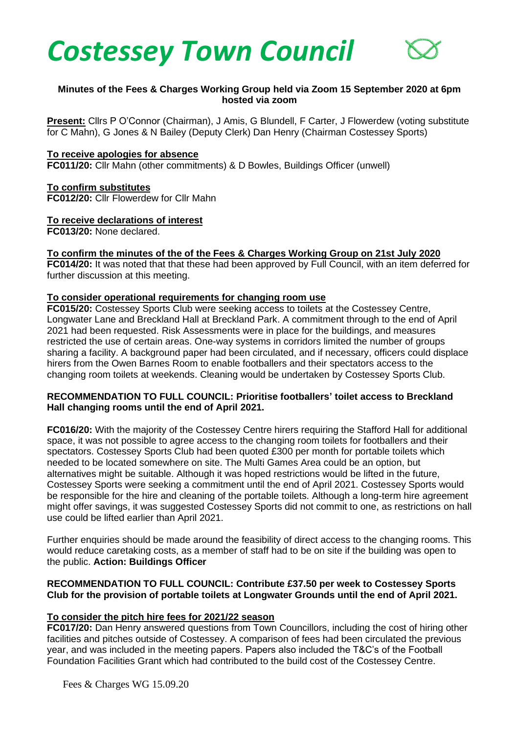



# **Minutes of the Fees & Charges Working Group held via Zoom 15 September 2020 at 6pm hosted via zoom**

**Present:** Cllrs P O'Connor (Chairman), J Amis, G Blundell, F Carter, J Flowerdew (voting substitute for C Mahn), G Jones & N Bailey (Deputy Clerk) Dan Henry (Chairman Costessey Sports)

### **To receive apologies for absence**

**FC011/20:** Cllr Mahn (other commitments) & D Bowles, Buildings Officer (unwell)

**To confirm substitutes FC012/20:** Cllr Flowerdew for Cllr Mahn

#### **To receive declarations of interest**

**FC013/20:** None declared.

#### **To confirm the minutes of the of the Fees & Charges Working Group on 21st July 2020**

**FC014/20:** It was noted that that these had been approved by Full Council, with an item deferred for further discussion at this meeting.

#### **To consider operational requirements for changing room use**

**FC015/20:** Costessey Sports Club were seeking access to toilets at the Costessey Centre, Longwater Lane and Breckland Hall at Breckland Park. A commitment through to the end of April 2021 had been requested. Risk Assessments were in place for the buildings, and measures restricted the use of certain areas. One-way systems in corridors limited the number of groups sharing a facility. A background paper had been circulated, and if necessary, officers could displace hirers from the Owen Barnes Room to enable footballers and their spectators access to the changing room toilets at weekends. Cleaning would be undertaken by Costessey Sports Club.

## **RECOMMENDATION TO FULL COUNCIL: Prioritise footballers' toilet access to Breckland Hall changing rooms until the end of April 2021.**

**FC016/20:** With the majority of the Costessey Centre hirers requiring the Stafford Hall for additional space, it was not possible to agree access to the changing room toilets for footballers and their spectators. Costessey Sports Club had been quoted £300 per month for portable toilets which needed to be located somewhere on site. The Multi Games Area could be an option, but alternatives might be suitable. Although it was hoped restrictions would be lifted in the future, Costessey Sports were seeking a commitment until the end of April 2021. Costessey Sports would be responsible for the hire and cleaning of the portable toilets. Although a long-term hire agreement might offer savings, it was suggested Costessey Sports did not commit to one, as restrictions on hall use could be lifted earlier than April 2021.

Further enquiries should be made around the feasibility of direct access to the changing rooms. This would reduce caretaking costs, as a member of staff had to be on site if the building was open to the public. **Action: Buildings Officer**

### **RECOMMENDATION TO FULL COUNCIL: Contribute £37.50 per week to Costessey Sports Club for the provision of portable toilets at Longwater Grounds until the end of April 2021.**

### **To consider the pitch hire fees for 2021/22 season**

**FC017/20:** Dan Henry answered questions from Town Councillors, including the cost of hiring other facilities and pitches outside of Costessey. A comparison of fees had been circulated the previous year, and was included in the meeting papers. Papers also included the T&C's of the Football Foundation Facilities Grant which had contributed to the build cost of the Costessey Centre.

Fees & Charges WG 15.09.20